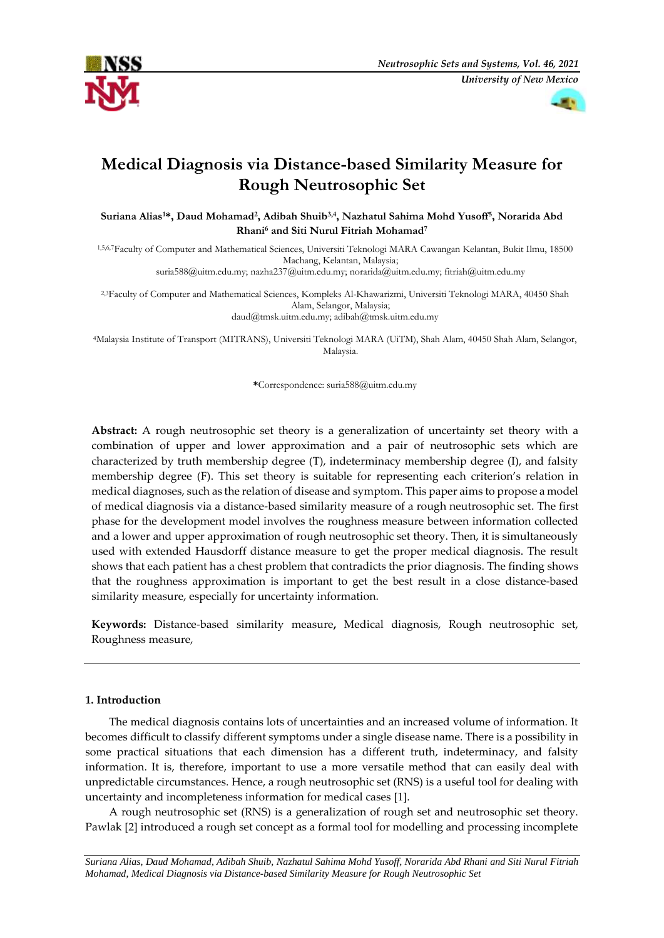



# **Medical Diagnosis via Distance-based Similarity Measure for Rough Neutrosophic Set**

**Suriana Alias1\*, Daud Mohamad<sup>2</sup> , Adibah Shuib3,4 , Nazhatul Sahima Mohd Yusoff<sup>5</sup> , Norarida Abd Rhani<sup>6</sup> and Siti Nurul Fitriah Mohamad<sup>7</sup>**

1,5,6,7Faculty of Computer and Mathematical Sciences, Universiti Teknologi MARA Cawangan Kelantan, Bukit Ilmu, 18500 Machang, Kelantan, Malaysia; suria588@uitm.edu.my; nazha237@uitm.edu.my; norarida@uitm.edu.my; fitriah@uitm.edu.my

2,3Faculty of Computer and Mathematical Sciences, Kompleks Al-Khawarizmi, Universiti Teknologi MARA, 40450 Shah Alam, Selangor, Malaysia; daud@tmsk.uitm.edu.my; adibah@tmsk.uitm.edu.my

<sup>4</sup>Malaysia Institute of Transport (MITRANS), Universiti Teknologi MARA (UiTM), Shah Alam, 40450 Shah Alam, Selangor, Malaysia.

**\***Correspondence: suria588@uitm.edu.my

**Abstract:** A rough neutrosophic set theory is a generalization of uncertainty set theory with a combination of upper and lower approximation and a pair of neutrosophic sets which are characterized by truth membership degree (T), indeterminacy membership degree (I), and falsity membership degree (F). This set theory is suitable for representing each criterion's relation in medical diagnoses, such as the relation of disease and symptom. This paper aims to propose a model of medical diagnosis via a distance-based similarity measure of a rough neutrosophic set. The first phase for the development model involves the roughness measure between information collected and a lower and upper approximation of rough neutrosophic set theory. Then, it is simultaneously used with extended Hausdorff distance measure to get the proper medical diagnosis. The result shows that each patient has a chest problem that contradicts the prior diagnosis. The finding shows that the roughness approximation is important to get the best result in a close distance-based similarity measure, especially for uncertainty information.

**Keywords:** Distance-based similarity measure**,** Medical diagnosis, Rough neutrosophic set, Roughness measure,

## **1. Introduction**

The medical diagnosis contains lots of uncertainties and an increased volume of information. It becomes difficult to classify different symptoms under a single disease name. There is a possibility in some practical situations that each dimension has a different truth, indeterminacy, and falsity information. It is, therefore, important to use a more versatile method that can easily deal with unpredictable circumstances. Hence, a rough neutrosophic set (RNS) is a useful tool for dealing with uncertainty and incompleteness information for medical cases [1].

A rough neutrosophic set (RNS) is a generalization of rough set and neutrosophic set theory. Pawlak [2] introduced a rough set concept as a formal tool for modelling and processing incomplete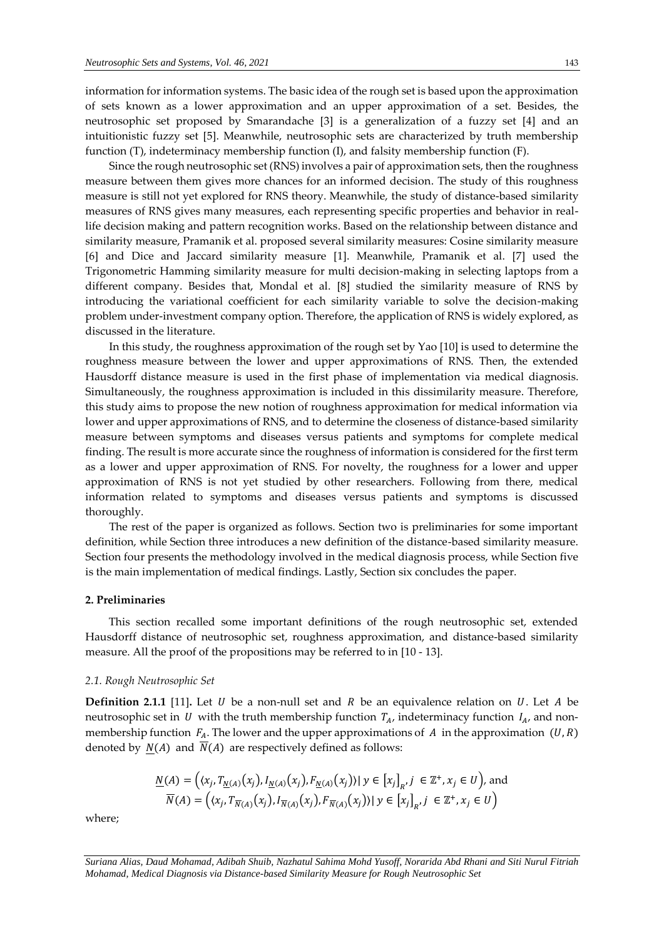information for information systems. The basic idea of the rough set is based upon the approximation of sets known as a lower approximation and an upper approximation of a set. Besides, the neutrosophic set proposed by Smarandache [3] is a generalization of a fuzzy set [4] and an intuitionistic fuzzy set [5]. Meanwhile, neutrosophic sets are characterized by truth membership function (T), indeterminacy membership function (I), and falsity membership function (F).

Since the rough neutrosophic set (RNS) involves a pair of approximation sets, then the roughness measure between them gives more chances for an informed decision. The study of this roughness measure is still not yet explored for RNS theory. Meanwhile, the study of distance-based similarity measures of RNS gives many measures, each representing specific properties and behavior in reallife decision making and pattern recognition works. Based on the relationship between distance and similarity measure, Pramanik et al. proposed several similarity measures: Cosine similarity measure [6] and Dice and Jaccard similarity measure [1]. Meanwhile, Pramanik et al. [7] used the Trigonometric Hamming similarity measure for multi decision-making in selecting laptops from a different company. Besides that, Mondal et al. [8] studied the similarity measure of RNS by introducing the variational coefficient for each similarity variable to solve the decision-making problem under-investment company option. Therefore, the application of RNS is widely explored, as discussed in the literature.

In this study, the roughness approximation of the rough set by Yao [10] is used to determine the roughness measure between the lower and upper approximations of RNS. Then, the extended Hausdorff distance measure is used in the first phase of implementation via medical diagnosis. Simultaneously, the roughness approximation is included in this dissimilarity measure. Therefore, this study aims to propose the new notion of roughness approximation for medical information via lower and upper approximations of RNS, and to determine the closeness of distance-based similarity measure between symptoms and diseases versus patients and symptoms for complete medical finding. The result is more accurate since the roughness of information is considered for the first term as a lower and upper approximation of RNS. For novelty, the roughness for a lower and upper approximation of RNS is not yet studied by other researchers. Following from there, medical information related to symptoms and diseases versus patients and symptoms is discussed thoroughly.

The rest of the paper is organized as follows. Section two is preliminaries for some important definition, while Section three introduces a new definition of the distance-based similarity measure. Section four presents the methodology involved in the medical diagnosis process, while Section five is the main implementation of medical findings. Lastly, Section six concludes the paper.

#### **2. Preliminaries**

This section recalled some important definitions of the rough neutrosophic set, extended Hausdorff distance of neutrosophic set, roughness approximation, and distance-based similarity measure. All the proof of the propositions may be referred to in [10 - 13].

#### *2.1. Rough Neutrosophic Set*

**Definition 2.1.1** [11]. Let  $U$  be a non-null set and  $R$  be an equivalence relation on  $U$ . Let  $A$  be neutrosophic set in U with the truth membership function  $T_A$ , indeterminacy function  $I_A$ , and nonmembership function  $F_A$ . The lower and the upper approximations of  $A$  in the approximation  $(U, R)$ denoted by  $N(A)$  and  $\overline{N}(A)$  are respectively defined as follows:

$$
\frac{N(A) = ((x_j, T_{\underline{N}(A)}(x_j), I_{\underline{N}(A)}(x_j), F_{\underline{N}(A)}(x_j))) \mid y \in [x_j]_R, j \in \mathbb{Z}^+, x_j \in U),
$$
 and  

$$
\overline{N}(A) = ((x_j, T_{\overline{N}(A)}(x_j), I_{\overline{N}(A)}(x_j), F_{\overline{N}(A)}(x_j))) \mid y \in [x_j]_R, j \in \mathbb{Z}^+, x_j \in U)
$$

where;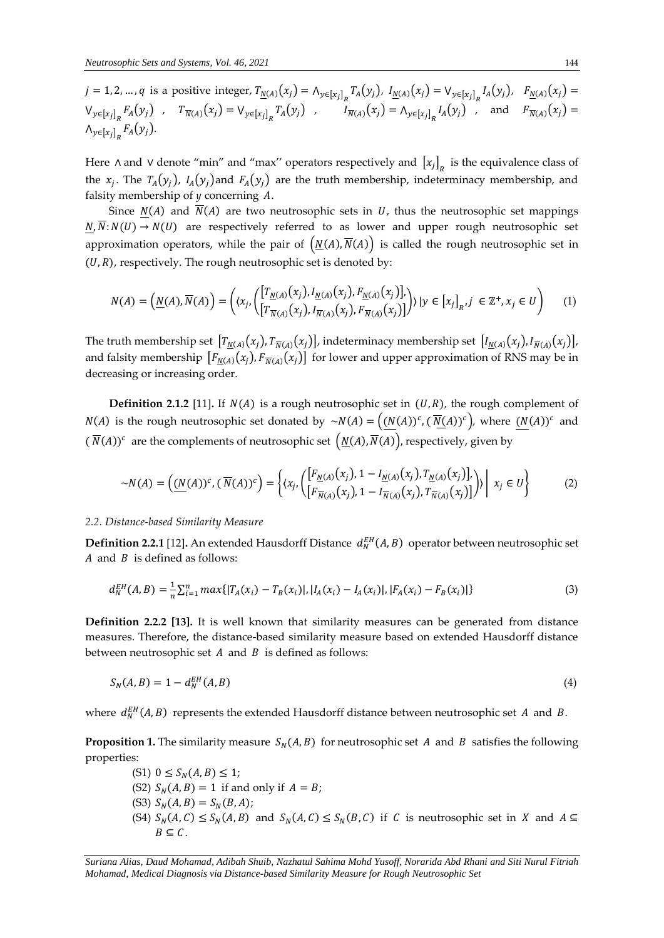$j = 1, 2, ..., q$  is a positive integer,  $T_{\underline{N}(A)}(x_j) = \bigwedge_{y \in [x_j]_p} T_A(y_j)$ ,  $I_{\underline{N}(A)}(x_j) = \bigvee_{y \in [x_j]_p} I_A(y_j)$ ,  $F_{\underline{N}(A)}(x_j) =$  $V_{y \in [x_j]_R} F_A(y_j)$ ,  $T_{\overline{N}(A)}(x_j) = V_{y \in [x_j]_R} T_A(y_j)$ ,  $I_{\overline{N}(A)}(x_j) = \Lambda_{y \in [x_j]_R} I_A(y_j)$ , and  $F_{\overline{N}(A)}(x_j) =$  $\bigwedge_{y \in [x_j]_R} F_A(y_j).$ 

Here ∧ and ∨ denote "min" and "max" operators respectively and  $[x_j]_R$  is the equivalence class of the  $x_j$ . The  $T_A(y_j)$ ,  $I_A(y_j)$  and  $F_A(y_j)$  are the truth membership, indeterminacy membership, and falsity membership of *y* concerning A.

Since  $N(A)$  and  $\overline{N}(A)$  are two neutrosophic sets in U, thus the neutrosophic set mappings  $N, \overline{N}: N(U) \rightarrow N(U)$  are respectively referred to as lower and upper rough neutrosophic set approximation operators, while the pair of  $(N(A), \overline{N}(A))$  is called the rough neutrosophic set in  $(U, R)$ , respectively. The rough neutrosophic set is denoted by:

$$
N(A) = \left(\underline{N}(A), \overline{N}(A)\right) = \left(\langle x_j, \left(\begin{bmatrix} T_{\underline{N}(A)}(x_j), I_{\underline{N}(A)}(x_j), F_{\underline{N}(A)}(x_j) \end{bmatrix}, Y_j \right) | y \in [x_j]_R, j \in \mathbb{Z}^+, x_j \in U\right) \tag{1}
$$

The truth membership set  $[T_{N(A)}(x_j), T_{N(A)}(x_j)]$ , indeterminacy membership set  $[I_{N(A)}(x_j), I_{N(A)}(x_j)]$ , and falsity membership  $[F_{\underline{N}(A)}(x_j), F_{\overline{N}(A)}(x_j)]$  for lower and upper approximation of RNS may be in decreasing or increasing order.

**Definition 2.1.2** [11]. If  $N(A)$  is a rough neutrosophic set in  $(U, R)$ , the rough complement of  $N(A)$  is the rough neutrosophic set donated by  $\sim N(A) = ((N(A))^c, (\overline{N}(A))^c)$ , where  $(N(A))^c$  and  $(\overline{N}(A))^{c}$  are the complements of neutrosophic set  $(\underline{N}(A), \overline{N}(A))$ , respectively, given by

$$
\sim N(A) = \left( \underline{(N(A))}^c, \left( \overline{N(A)})^c \right) = \left\{ (x_j, \left( \begin{bmatrix} F_{\underline{N}(A)}(x_j), 1 - I_{\underline{N}(A)}(x_j), T_{\underline{N}(A)}(x_j) \end{bmatrix}, Y_{\underline{N}(A)}(x_j) \right) \middle| x_j \in U \right\} \right\}
$$
(2)

#### *2.2. Distance-based Similarity Measure*

**Definition 2.2.1** [12]. An extended Hausdorff Distance  $d_N^{EH}(A, B)$  operator between neutrosophic set  $A$  and  $B$  is defined as follows:

$$
d_N^{EH}(A,B) = \frac{1}{n} \sum_{i=1}^n max\{|T_A(x_i) - T_B(x_i)|, |I_A(x_i) - I_A(x_i)|, |F_A(x_i) - F_B(x_i)|\}
$$
(3)

**Definition 2.2.2 [13].** It is well known that similarity measures can be generated from distance measures. Therefore, the distance-based similarity measure based on extended Hausdorff distance between neutrosophic set  $A$  and  $B$  is defined as follows:

$$
S_N(A,B) = 1 - d_N^{EH}(A,B) \tag{4}
$$

where  $d_N^{EH}(A, B)$  represents the extended Hausdorff distance between neutrosophic set A and B.

**Proposition 1.** The similarity measure  $S_N(A, B)$  for neutrosophic set A and B satisfies the following properties:

(S1)  $0 \le S_N(A, B) \le 1;$ (S2)  $S_N(A, B) = 1$  if and only if  $A = B$ ; (S3)  $S_N(A, B) = S_N(B, A);$ (S4)  $S_N(A, C) \le S_N(A, B)$  and  $S_N(A, C) \le S_N(B, C)$  if C is neutrosophic set in X and  $A \subseteq$  $B \subseteq C$ .

*Suriana Alias, Daud Mohamad, Adibah Shuib, Nazhatul Sahima Mohd Yusoff, Norarida Abd Rhani and Siti Nurul Fitriah Mohamad, Medical Diagnosis via Distance-based Similarity Measure for Rough Neutrosophic Set*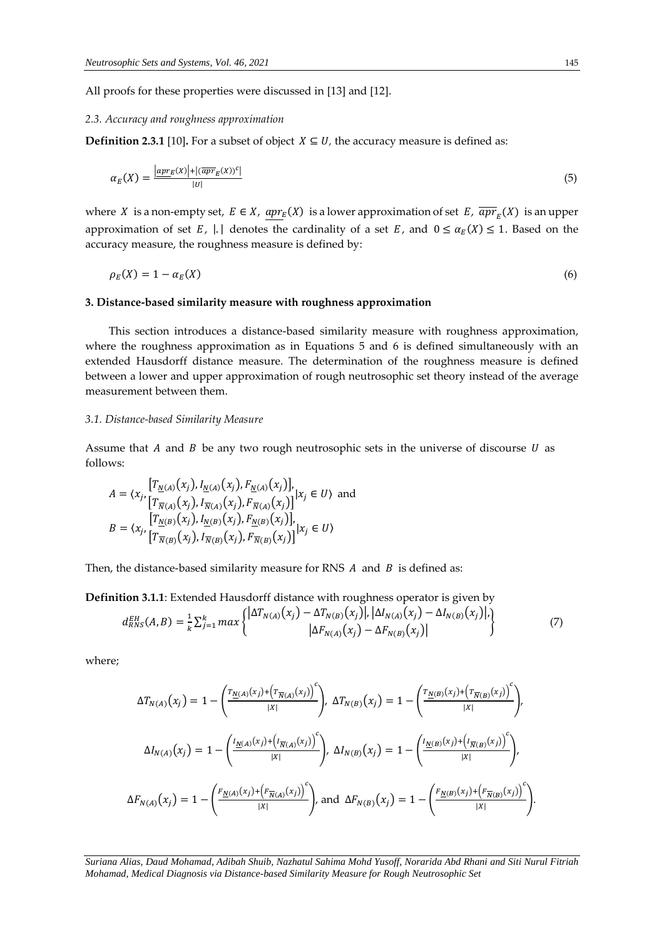All proofs for these properties were discussed in [13] and [12].

# *2.3. Accuracy and roughness approximation*

**Definition 2.3.1** [10]**.** For a subset of object  $X \subseteq U$ , the accuracy measure is defined as:

$$
\alpha_E(X) = \frac{|\operatorname{apr}_E(X)| + |\langle \overline{\operatorname{apr}}_E(X)\rangle^c|}{|U|} \tag{5}
$$

where X is a non-empty set,  $E \in X$ ,  $\underline{apr}_E(X)$  is a lower approximation of set  $E$ ,  $\overline{apr}_E(X)$  is an upper approximation of set E,  $|\cdot|$  denotes the cardinality of a set E, and  $0 \le \alpha_E(X) \le 1$ . Based on the accuracy measure, the roughness measure is defined by:

$$
\rho_E(X) = 1 - \alpha_E(X) \tag{6}
$$

#### **3. Distance-based similarity measure with roughness approximation**

This section introduces a distance-based similarity measure with roughness approximation, where the roughness approximation as in Equations 5 and 6 is defined simultaneously with an extended Hausdorff distance measure. The determination of the roughness measure is defined between a lower and upper approximation of rough neutrosophic set theory instead of the average measurement between them.

# *3.1. Distance-based Similarity Measure*

Assume that  $A$  and  $B$  be any two rough neutrosophic sets in the universe of discourse  $U$  as follows:

$$
A = \langle x_j, \left[ T_{\frac{N(A)}{N(A)}}(x_j), I_{\frac{N(A)}{N(A)}}(x_j), F_{\frac{N(A)}{N(A)}}(x_j) \right], x_j \in U \rangle \text{ and}
$$
  

$$
B = \langle x_j, \left[ T_{\frac{N(B)}{N(A)}}(x_j), I_{\frac{N(B)}{N(B)}}(x_j), F_{\frac{N(B)}{N(B)}}(x_j) \right], x_j \in U \rangle
$$
  

$$
B = \langle x_j, \left[ T_{\frac{N(B)}{N(B)}}(x_j), I_{\frac{N(B)}{N(B)}}(x_j), F_{\frac{N(B)}{N(B)}}(x_j) \right] | x_j \in U \rangle
$$

Then, the distance-based similarity measure for RNS  $A$  and  $B$  is defined as:

**Definition 3.1.1**: Extended Hausdorff distance with roughness operator is given by

$$
d_{RNS}^{EH}(A,B) = \frac{1}{k} \sum_{j=1}^{k} max \begin{cases} |\Delta T_{N(A)}(x_j) - \Delta T_{N(B)}(x_j)|, |\Delta I_{N(A)}(x_j) - \Delta I_{N(B)}(x_j)|, \\ |\Delta F_{N(A)}(x_j) - \Delta F_{N(B)}(x_j)| \end{cases}
$$
(7)

where;

$$
\Delta T_{N(A)}(x_j) = 1 - \left(\frac{r_{\underline{N}(A)}(x_j) + (r_{\overline{N}(A)}(x_j))}{|X|}\right), \ \Delta T_{N(B)}(x_j) = 1 - \left(\frac{r_{\underline{N}(B)}(x_j) + (r_{\overline{N}(B)}(x_j))}{|X|}\right),
$$

$$
\Delta I_{N(A)}(x_j) = 1 - \left(\frac{I_{\underline{N}(A)}(x_j) + (I_{\overline{N}(A)}(x_j))}{|X|}\right), \ \Delta I_{N(B)}(x_j) = 1 - \left(\frac{I_{\underline{N}(B)}(x_j) + (I_{\overline{N}(B)}(x_j))}{|X|}\right),
$$

$$
\Delta F_{N(A)}(x_j) = 1 - \left(\frac{F_{\underline{N}(A)}(x_j) + (F_{\overline{N}(A)}(x_j))}{|X|}\right), \text{ and } \Delta F_{N(B)}(x_j) = 1 - \left(\frac{F_{\underline{N}(B)}(x_j) + (F_{\overline{N}(B)}(x_j))}{|X|}\right).
$$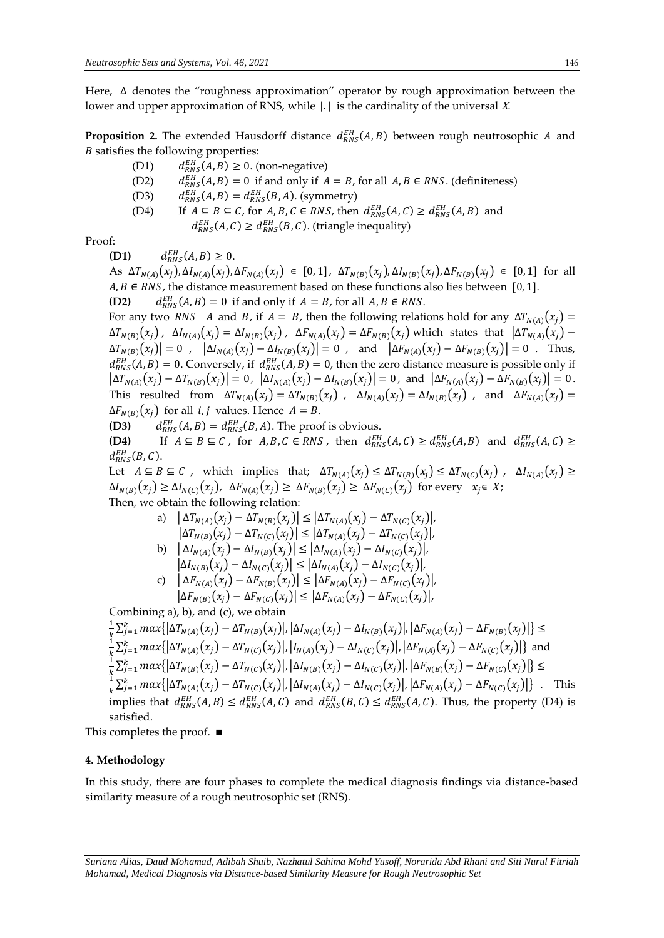Here, ∆ denotes the "roughness approximation" operator by rough approximation between the lower and upper approximation of RNS, while  $|.|$  is the cardinality of the universal X.

**Proposition 2.** The extended Hausdorff distance  $d_{RNS}^{EH}(A, B)$  between rough neutrosophic A and  $B$  satisfies the following properties:

(D1)  $d_{RNS}^{EH}(A, B) \ge 0$ . (non-negative)

(D2)  $d_{RNS}^{EH}(A, B) = 0$  if and only if  $A = B$ , for all  $A, B \in RNS$ . (definiteness)

- (D3)  $d_{RNS}^{EH}(A, B) = d_{RNS}^{EH}(B, A)$ . (symmetry)
- (D4) If  $A \subseteq B \subseteq C$ , for  $A, B, C \in RNS$ , then  $d_{RNS}^{EH}(A, C) \geq d_{RNS}^{EH}(A, B)$  and  $d_{RNS}^{EH}(A, C) \geq d_{RNS}^{EH}(B, C)$ . (triangle inequality)

Proof:

**(D1)**  $d_{RNS}^{EH}(A, B) \ge 0.$ 

As  $\Delta T_{N(A)}(x_j), \Delta I_{N(A)}(x_j), \Delta F_{N(A)}(x_j) \in [0,1], \Delta T_{N(B)}(x_j), \Delta I_{N(B)}(x_j), \Delta F_{N(B)}(x_j) \in [0,1]$  for all  $A, B \in RNS$ , the distance measurement based on these functions also lies between [0, 1]. **(D2)**  $d_{RNS}^{EH}(A, B) = 0$  if and only if  $A = B$ , for all  $A, B \in RNS$ .

For any two RNS A and B, if  $A = B$ , then the following relations hold for any  $\Delta T_{N(A)}(x_i) =$  $\Delta T_{N(B)}(x_j)$ ,  $\Delta I_{N(A)}(x_j) = \Delta I_{N(B)}(x_j)$ ,  $\Delta F_{N(A)}(x_j) = \Delta F_{N(B)}(x_j)$  which states that  $|\Delta T_{N(A)}(x_j) - \Delta T_{N(B)}(x_j)|$  $\Delta T_{N(B)}(x_j)| = 0$ ,  $|\Delta I_{N(A)}(x_j) - \Delta I_{N(B)}(x_j)| = 0$ , and  $|\Delta F_{N(A)}(x_j) - \Delta F_{N(B)}(x_j)| = 0$ . Thus,  $d_{RNS}^{EH}(A, B) = 0$ . Conversely, if  $d_{RNS}^{EH}(A, B) = 0$ , then the zero distance measure is possible only if  $|\Delta T_{N(A)}(x_j) - \Delta T_{N(B)}(x_j)| = 0$ ,  $|\Delta I_{N(A)}(x_j) - \Delta I_{N(B)}(x_j)| = 0$ , and  $|\Delta F_{N(A)}(x_j) - \Delta F_{N(B)}(x_j)| = 0$ . This resulted from  $\Delta T_{N(A)}(x_i) = \Delta T_{N(B)}(x_i)$ ,  $\Delta I_{N(A)}(x_i) = \Delta I_{N(B)}(x_i)$ , and  $\Delta F_{N(A)}(x_i) =$  $\Delta F_{N(B)}(x_i)$  for all *i*, *j* values. Hence  $A = B$ .

**(D3)**  $d_{RNS}^{EH}(A, B) = d_{RNS}^{EH}(B, A)$ . The proof is obvious.

**(D4)** If  $A \subseteq B \subseteq C$ , for  $A, B, C \in RNS$ , then  $d_{RNS}^{EH}(A, C) \geq d_{RNS}^{EH}(A, B)$  and  $d_{RNS}^{EH}(A, C) \geq$  $d_{RNS}^{EH}(B,C)$ .

Let  $A \subseteq B \subseteq C$ , which implies that;  $\Delta T_{N(A)}(x_j) \leq \Delta T_{N(B)}(x_j) \leq \Delta T_{N(C)}(x_j)$ ,  $\Delta I_{N(A)}(x_j) \geq$  $\Delta I_{N(B)}(x_i) \geq \Delta I_{N(C)}(x_i)$ ,  $\Delta F_{N(A)}(x_i) \geq \Delta F_{N(B)}(x_i) \geq \Delta F_{N(C)}(x_i)$  for every  $x_i \in X$ ; Then, we obtain the following relation:

a) 
$$
|\Delta T_{N(A)}(x_j) - \Delta T_{N(B)}(x_j)| \leq |\Delta T_{N(A)}(x_j) - \Delta T_{N(C)}(x_j)|
$$
,  
\n $|\Delta T_{N(B)}(x_j) - \Delta T_{N(C)}(x_j)| \leq |\Delta T_{N(A)}(x_j) - \Delta T_{N(C)}(x_j)|$ ,  
\nb)  $|\Delta I_{N(A)}(x_j) - \Delta I_{N(B)}(x_j)| \leq |\Delta I_{N(A)}(x_j) - \Delta I_{N(C)}(x_j)|$ ,  
\n $|\Delta I_{N(B)}(x_j) - \Delta I_{N(C)}(x_j)| \leq |\Delta I_{N(A)}(x_j) - \Delta I_{N(C)}(x_j)|$ ,  
\nc)  $|\Delta F_{N(A)}(x_j) - \Delta F_{N(B)}(x_j)| \leq |\Delta F_{N(A)}(x_j) - \Delta F_{N(C)}(x_j)|$ ,

$$
\left|\Delta F_{N(B)}(x_j) - \Delta F_{N(C)}(x_j)\right| \le \left|\Delta F_{N(A)}(x_j) - \Delta F_{N(C)}(x_j)\right|,
$$

Combining a), b), and (c), we obtain

$$
\frac{1}{k} \sum_{j=1}^{k} \max\{|\Delta T_{N(A)}(x_{j}) - \Delta T_{N(B)}(x_{j})|, |\Delta I_{N(A)}(x_{j}) - \Delta I_{N(B)}(x_{j})|, |\Delta F_{N(A)}(x_{j}) - \Delta F_{N(B)}(x_{j})|\} \le
$$
\n
$$
\frac{1}{k} \sum_{j=1}^{k} \max\{|\Delta T_{N(A)}(x_{j}) - \Delta T_{N(C)}(x_{j})|, |I_{N(A)}(x_{j}) - \Delta I_{N(C)}(x_{j})|, |\Delta F_{N(A)}(x_{j}) - \Delta F_{N(C)}(x_{j})|\} \text{ and }
$$
\n
$$
\frac{1}{k} \sum_{j=1}^{k} \max\{|\Delta T_{N(B)}(x_{j}) - \Delta T_{N(C)}(x_{j})|, |\Delta I_{N(B)}(x_{j}) - \Delta I_{N(C)}(x_{j})|, |\Delta F_{N(B)}(x_{j}) - \Delta F_{N(C)}(x_{j})|\} \le
$$
\n
$$
\frac{1}{k} \sum_{j=1}^{k} \max\{|\Delta T_{N(A)}(x_{j}) - \Delta T_{N(C)}(x_{j})|, |\Delta I_{N(A)}(x_{j}) - \Delta I_{N(C)}(x_{j})|, |\Delta F_{N(A)}(x_{j}) - \Delta F_{N(C)}(x_{j})|\} \text{ . This implies that } d_{RNS}^{EM}(A, B) \leq d_{RNS}^{EH}(A, C) \text{ and } d_{RNS}^{EH}(B, C) \leq d_{RNS}^{EH}(A, C). Thus, the property (D4) is satisfied.
$$

This completes the proof. ∎

# **4. Methodology**

In this study, there are four phases to complete the medical diagnosis findings via distance-based similarity measure of a rough neutrosophic set (RNS).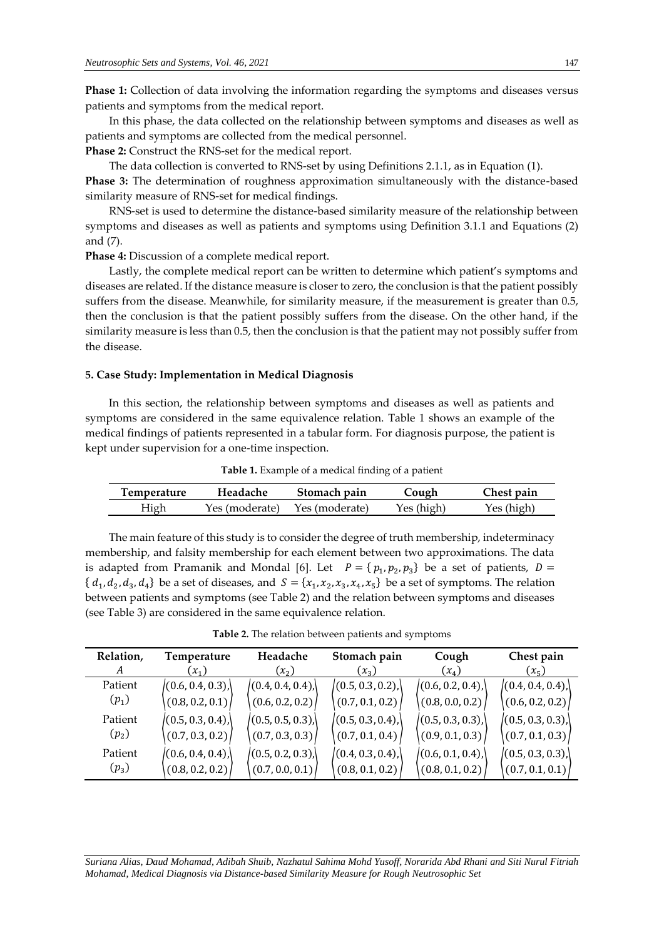**Phase 1:** Collection of data involving the information regarding the symptoms and diseases versus patients and symptoms from the medical report.

In this phase, the data collected on the relationship between symptoms and diseases as well as patients and symptoms are collected from the medical personnel.

**Phase 2:** Construct the RNS-set for the medical report.

The data collection is converted to RNS-set by using Definitions 2.1.1, as in Equation (1). **Phase 3:** The determination of roughness approximation simultaneously with the distance-based similarity measure of RNS-set for medical findings.

RNS-set is used to determine the distance-based similarity measure of the relationship between symptoms and diseases as well as patients and symptoms using Definition 3.1.1 and Equations (2) and (7).

**Phase 4:** Discussion of a complete medical report.

Lastly, the complete medical report can be written to determine which patient's symptoms and diseases are related. If the distance measure is closer to zero, the conclusion is that the patient possibly suffers from the disease. Meanwhile, for similarity measure, if the measurement is greater than 0.5, then the conclusion is that the patient possibly suffers from the disease. On the other hand, if the similarity measure is less than 0.5, then the conclusion is that the patient may not possibly suffer from the disease.

# **5. Case Study: Implementation in Medical Diagnosis**

In this section, the relationship between symptoms and diseases as well as patients and symptoms are considered in the same equivalence relation. Table 1 shows an example of the medical findings of patients represented in a tabular form. For diagnosis purpose, the patient is kept under supervision for a one-time inspection.

**Table 1.** Example of a medical finding of a patient

| Temperature | Headache       | Stomach pain   | Jough      | Chest pain |
|-------------|----------------|----------------|------------|------------|
| High        | Yes (moderate) | Yes (moderate) | Yes (high) | Yes (high) |

The main feature of this study is to consider the degree of truth membership, indeterminacy membership, and falsity membership for each element between two approximations. The data is adapted from Pramanik and Mondal [6]. Let  $P = \{p_1, p_2, p_3\}$  be a set of patients,  $D =$  $\{d_1, d_2, d_3, d_4\}$  be a set of diseases, and  $S = \{x_1, x_2, x_3, x_4, x_5\}$  be a set of symptoms. The relation between patients and symptoms (see Table 2) and the relation between symptoms and diseases (see Table 3) are considered in the same equivalence relation.

| Relation, | Temperature      | Headache        | Stomach pain    | Cough            | Chest pain      |
|-----------|------------------|-----------------|-----------------|------------------|-----------------|
| A         | $(x_1)$          | $(x_2)$         | $(x_3)$         | $(x_4)$          | $(x_5)$         |
| Patient   | (0.6, 0.4, 0.3)  | (0.4, 0.4, 0.4) | (0.5, 0.3, 0.2) | (0.6, 0.2, 0.4)  | (0.4, 0.4, 0.4) |
| $(p_1)$   | (0.8, 0.2, 0.1)  | (0.6, 0.2, 0.2) | (0.7, 0.1, 0.2) | (0.8, 0.0, 0.2)  | (0.6, 0.2, 0.2) |
| Patient   | (0.5, 0.3, 0.4), | (0.5, 0.5, 0.3) | (0.5, 0.3, 0.4) | (0.5, 0.3, 0.3)  | (0.5, 0.3, 0.3) |
| $(p_2)$   | (0.7, 0.3, 0.2)  | (0.7, 0.3, 0.3) | (0.7, 0.1, 0.4) | (0.9, 0.1, 0.3)  | (0.7, 0.1, 0.3) |
| Patient   | (0.6, 0.4, 0.4)  | (0.5, 0.2, 0.3) | (0.4, 0.3, 0.4) | (0.6, 0.1, 0.4), | (0.5, 0.3, 0.3) |
| $(p_3)$   | (0.8, 0.2, 0.2)  | (0.7, 0.0, 0.1) | (0.8, 0.1, 0.2) | (0.8, 0.1, 0.2)  | (0.7, 0.1, 0.1) |

**Table 2.** The relation between patients and symptoms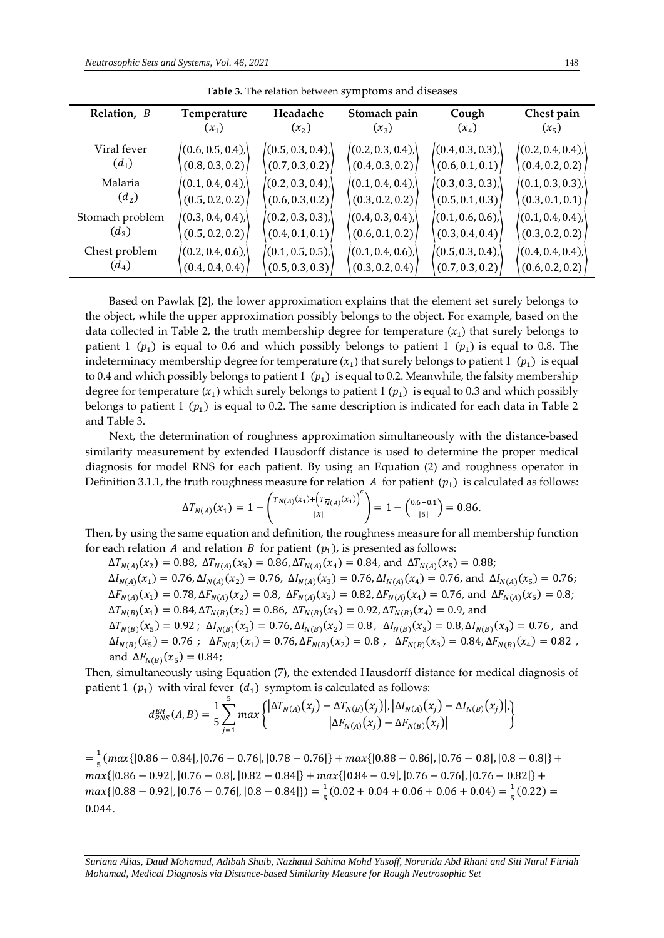| Relation, B     | Temperature     | Headache        | Stomach pain    | Cough           | Chest pain      |
|-----------------|-----------------|-----------------|-----------------|-----------------|-----------------|
|                 | $(x_1)$         | $(x_2)$         | $(x_3)$         | $(x_4)$         | $(x_5)$         |
| Viral fever     | (0.6, 0.5, 0.4) | (0.5, 0.3, 0.4) | (0.2, 0.3, 0.4) | (0.4, 0.3, 0.3) | (0.2, 0.4, 0.4) |
| $(d_1)$         | (0.8, 0.3, 0.2) | (0.7, 0.3, 0.2) | (0.4, 0.3, 0.2) | (0.6, 0.1, 0.1) | (0.4, 0.2, 0.2) |
| Malaria         | (0.1, 0.4, 0.4) | (0.2, 0.3, 0.4) | (0.1, 0.4, 0.4) | (0.3, 0.3, 0.3) | (0.1, 0.3, 0.3) |
| $(d_2)$         | (0.5, 0.2, 0.2) | (0.6, 0.3, 0.2) | (0.3, 0.2, 0.2) | (0.5, 0.1, 0.3) | (0.3, 0.1, 0.1) |
| Stomach problem | (0.3, 0.4, 0.4) | (0.2, 0.3, 0.3) | (0.4, 0.3, 0.4) | (0.1, 0.6, 0.6) | (0.1, 0.4, 0.4) |
| $(d_3)$         | (0.5, 0.2, 0.2) | (0.4, 0.1, 0.1) | (0.6, 0.1, 0.2) | (0.3, 0.4, 0.4) | (0.3, 0.2, 0.2) |
| Chest problem   | (0.2, 0.4, 0.6) | (0.1, 0.5, 0.5) | (0.1, 0.4, 0.6) | (0.5, 0.3, 0.4) | (0.4, 0.4, 0.4) |
| $(d_4)$         | (0.4, 0.4, 0.4) | (0.5, 0.3, 0.3) | (0.3, 0.2, 0.4) | (0.7, 0.3, 0.2) | (0.6, 0.2, 0.2) |

**Table 3.** The relation between symptoms and diseases

Based on Pawlak [2], the lower approximation explains that the element set surely belongs to the object, while the upper approximation possibly belongs to the object. For example, based on the data collected in Table 2, the truth membership degree for temperature  $(x_1)$  that surely belongs to patient 1 ( $p_1$ ) is equal to 0.6 and which possibly belongs to patient 1 ( $p_1$ ) is equal to 0.8. The indeterminacy membership degree for temperature  $(x_1)$  that surely belongs to patient  $1 \; \, (p_1) \;$  is equal to 0.4 and which possibly belongs to patient 1  $(p_1)$  is equal to 0.2. Meanwhile, the falsity membership degree for temperature  $(x_1)$  which surely belongs to patient 1  $(p_1)$  is equal to 0.3 and which possibly belongs to patient 1  $(p_1)$  is equal to 0.2. The same description is indicated for each data in Table 2 and Table 3.

Next, the determination of roughness approximation simultaneously with the distance-based similarity measurement by extended Hausdorff distance is used to determine the proper medical diagnosis for model RNS for each patient. By using an Equation (2) and roughness operator in Definition 3.1.1, the truth roughness measure for relation A for patient  $(p_1)$  is calculated as follows:

$$
\Delta T_{N(A)}(x_1) = 1 - \left(\frac{T_{\underline{N}(A)}(x_1) + (T_{\overline{N}(A)}(x_1))}{|X|}\right) = 1 - \left(\frac{0.6 + 0.1}{|S|}\right) = 0.86.
$$

Then, by using the same equation and definition, the roughness measure for all membership function for each relation A and relation B for patient  $(p_1)$ , is presented as follows:

 $\Delta T_{N(A)}(x_2) = 0.88$ ,  $\Delta T_{N(A)}(x_3) = 0.86$ ,  $\Delta T_{N(A)}(x_4) = 0.84$ , and  $\Delta T_{N(A)}(x_5) = 0.88$ ;

 $\Delta I_{N(A)}(x_1) = 0.76, \Delta I_{N(A)}(x_2) = 0.76, \ \Delta I_{N(A)}(x_3) = 0.76, \Delta I_{N(A)}(x_4) = 0.76, \text{ and } \ \Delta I_{N(A)}(x_5) = 0.76,$  $\Delta F_{N(A)}(x_1) = 0.78, \Delta F_{N(A)}(x_2) = 0.8, \ \Delta F_{N(A)}(x_3) = 0.82, \Delta F_{N(A)}(x_4) = 0.76, \text{ and } \ \Delta F_{N(A)}(x_5) = 0.8;$  $\Delta T_{N(B)}(x_1) = 0.84, \Delta T_{N(B)}(x_2) = 0.86, \ \Delta T_{N(B)}(x_3) = 0.92, \Delta T_{N(B)}(x_4) = 0.9$ , and

 $\Delta T_{N(B)}(x_5) = 0.92$ ;  $\Delta I_{N(B)}(x_1) = 0.76$ ,  $\Delta I_{N(B)}(x_2) = 0.8$ ,  $\Delta I_{N(B)}(x_3) = 0.8$ ,  $\Delta I_{N(B)}(x_4) = 0.76$ , and  $\Delta I_{N(B)}(x_5) = 0.76$ ;  $\Delta F_{N(B)}(x_1) = 0.76$ ,  $\Delta F_{N(B)}(x_2) = 0.8$ ,  $\Delta F_{N(B)}(x_3) = 0.84$ ,  $\Delta F_{N(B)}(x_4) = 0.82$ , and  $\Delta F_{N(B)}(x_5) = 0.84;$ 

Then, simultaneously using Equation (7), the extended Hausdorff distance for medical diagnosis of patient 1 ( $p_1$ ) with viral fever ( $d_1$ ) symptom is calculated as follows:

$$
d_{RNS}^{EH}(A,B) = \frac{1}{5} \sum_{j=1}^{5} max \left\{ \frac{|\Delta T_{N(A)}(x_j) - \Delta T_{N(B)}(x_j)|, |\Delta I_{N(A)}(x_j) - \Delta I_{N(B)}(x_j)|, |\Delta F_{N(A)}(x_j) - \Delta F_{N(B)}(x_j)|, |\Delta F_{N(A)}(x_j) - \Delta F_{N(B)}(x_j)|, |\Delta F_{N(B)}(x_j) - \Delta F_{N(B)}(x_j)|, |\Delta F_{N(B)}(x_j) - \Delta F_{N(B)}(x_j)|, |\Delta F_{N(B)}(x_j) - \Delta F_{N(B)}(x_j)|, |\Delta F_{N(B)}(x_j) - \Delta F_{N(B)}(x_j)|, |\Delta F_{N(B)}(x_j) - \Delta F_{N(B)}(x_j)|, |\Delta F_{N(B)}(x_j) - \Delta F_{N(B)}(x_j)|, |\Delta F_{N(B)}(x_j) - \Delta F_{N(B)}(x_j)|, |\Delta F_{N(B)}(x_j) - \Delta F_{N(B)}(x_j)|, |\Delta F_{N(B)}(x_j) - \Delta F_{N(B)}(x_j)|, |\Delta F_{N(B)}(x_j) - \Delta F_{N(B)}(x_j)|, |\Delta F_{N(B)}(x_j) - \Delta F_{N(B)}(x_j)|, |\Delta F_{N(B)}(x_j) - \Delta F_{N(B)}(x_j)|, |\Delta F_{N(B)}(x_j) - \Delta F_{N(B)}(x_j)|, |\Delta F_{N(B)}(x_j) - \Delta F_{N(B)}(x_j)|, |\Delta F_{N(B)}(x_j) - \Delta F_{N(B)}(x_j)|, |\Delta F_{N(B)}(x_j) - \Delta F_{N(B)}(x_j) - \Delta F_{N(B)}(x_j) - \Delta F_{N(B)}(x_j) - \Delta F_{N(B)}(x_j) - \Delta F_{N(B)}(x_j) - \Delta F_{N(B)}(x_j) - \Delta F_{N(B)}(x_j) - \Delta F_{N(B)}(x_j) - \Delta F_{N(B)}(x_j) - \Delta F_{N(B)}(x_j) - \Delta F_{N(B)}(x_j) - \Delta F_{N(B)}(x_j) - \Delta F_{N(B)}(x_j) - \Delta F_{N(B)}(x_j) - \Delta F_{N(B)}(x_j) - \Delta F_{N(B)}(x_j) - \Delta F_{N(B)}(x_j) - \Delta F_{N(B)}(x_j) - \Delta F_{N(B)}(x_j) - \Delta F_{N(B)}(x_j) - \Delta F_{N(B)}(x_j) - \Delta
$$

 $=\frac{1}{5}$  $\frac{1}{5}$ (max{|0.86 – 0.84|, |0.76 – 0.76|, |0.78 – 0.76|} +  $max{\{|0.88 - 0.86|, |0.76 - 0.8|, |0.8 - 0.8|\}}$  +  $max{[0.86 - 0.92], [0.76 - 0.8], [0.82 - 0.84]} + max{[0.84 - 0.9], [0.76 - 0.76], [0.76 - 0.82]} +$  $max\{|0.88 - 0.92|, |0.76 - 0.76|, |0.8 - 0.84|\}) = \frac{1}{5}$  $\frac{1}{5}(0.02 + 0.04 + 0.06 + 0.06 + 0.04) = \frac{1}{5}$  $\frac{1}{5}(0.22) =$ 0.044.

*Suriana Alias, Daud Mohamad, Adibah Shuib, Nazhatul Sahima Mohd Yusoff, Norarida Abd Rhani and Siti Nurul Fitriah Mohamad, Medical Diagnosis via Distance-based Similarity Measure for Rough Neutrosophic Set*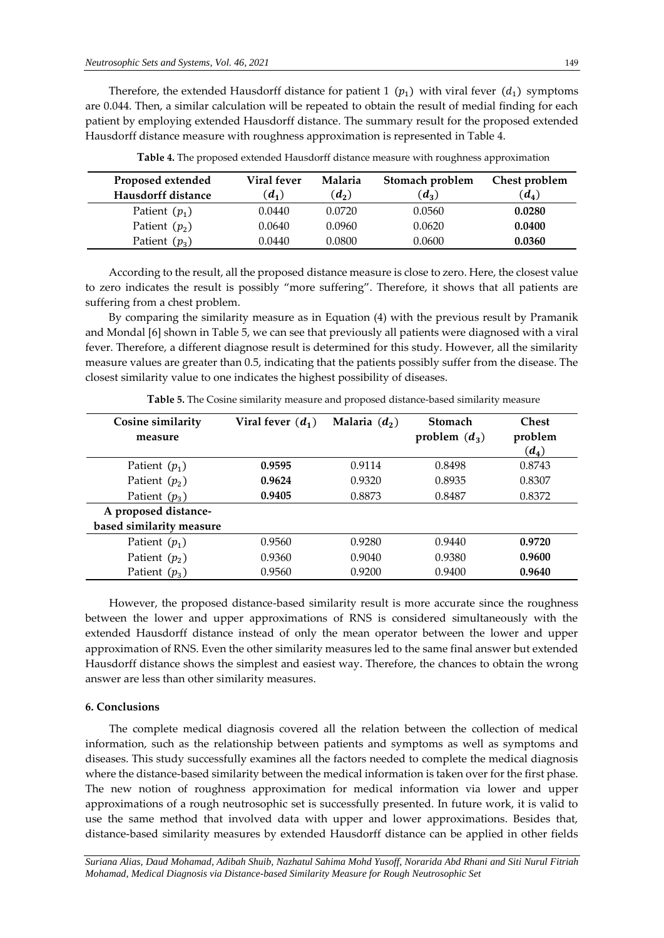Therefore, the extended Hausdorff distance for patient 1  $(p_1)$  with viral fever  $(d_1)$  symptoms are 0.044. Then, a similar calculation will be repeated to obtain the result of medial finding for each patient by employing extended Hausdorff distance. The summary result for the proposed extended Hausdorff distance measure with roughness approximation is represented in Table 4.

| Proposed extended  | Viral fever | Malaria | Stomach problem | Chest problem |
|--------------------|-------------|---------|-----------------|---------------|
| Hausdorff distance | $(d_1)$     | $(d_2)$ | $(d_3)$         | $(d_4)$       |
| Patient $(p_1)$    | 0.0440      | 0.0720  | 0.0560          | 0.0280        |
| Patient $(p_2)$    | 0.0640      | 0.0960  | 0.0620          | 0.0400        |
| Patient $(p_3)$    | 0.0440      | 0.0800  | 0.0600          | 0.0360        |

**Table 4.** The proposed extended Hausdorff distance measure with roughness approximation

According to the result, all the proposed distance measure is close to zero. Here, the closest value to zero indicates the result is possibly "more suffering". Therefore, it shows that all patients are suffering from a chest problem.

By comparing the similarity measure as in Equation (4) with the previous result by Pramanik and Mondal [6] shown in Table 5, we can see that previously all patients were diagnosed with a viral fever. Therefore, a different diagnose result is determined for this study. However, all the similarity measure values are greater than 0.5, indicating that the patients possibly suffer from the disease. The closest similarity value to one indicates the highest possibility of diseases.

| Cosine similarity<br>measure | Viral fever $(d_1)$ | Malaria $(d_2)$ | <b>Stomach</b><br>problem $(d_3)$ | <b>Chest</b><br>problem<br>$(d_4)$ |
|------------------------------|---------------------|-----------------|-----------------------------------|------------------------------------|
| Patient $(p_1)$              | 0.9595              | 0.9114          | 0.8498                            | 0.8743                             |
| Patient $(p_2)$              | 0.9624              | 0.9320          | 0.8935                            | 0.8307                             |
| Patient $(p_3)$              | 0.9405              | 0.8873          | 0.8487                            | 0.8372                             |
| A proposed distance-         |                     |                 |                                   |                                    |
| based similarity measure     |                     |                 |                                   |                                    |
| Patient $(p_1)$              | 0.9560              | 0.9280          | 0.9440                            | 0.9720                             |
| Patient $(p_2)$              | 0.9360              | 0.9040          | 0.9380                            | 0.9600                             |
| Patient $(p_3)$              | 0.9560              | 0.9200          | 0.9400                            | 0.9640                             |

**Table 5.** The Cosine similarity measure and proposed distance-based similarity measure

However, the proposed distance-based similarity result is more accurate since the roughness between the lower and upper approximations of RNS is considered simultaneously with the extended Hausdorff distance instead of only the mean operator between the lower and upper approximation of RNS. Even the other similarity measures led to the same final answer but extended Hausdorff distance shows the simplest and easiest way. Therefore, the chances to obtain the wrong answer are less than other similarity measures.

#### **6. Conclusions**

The complete medical diagnosis covered all the relation between the collection of medical information, such as the relationship between patients and symptoms as well as symptoms and diseases. This study successfully examines all the factors needed to complete the medical diagnosis where the distance-based similarity between the medical information is taken over for the first phase. The new notion of roughness approximation for medical information via lower and upper approximations of a rough neutrosophic set is successfully presented. In future work, it is valid to use the same method that involved data with upper and lower approximations. Besides that, distance-based similarity measures by extended Hausdorff distance can be applied in other fields